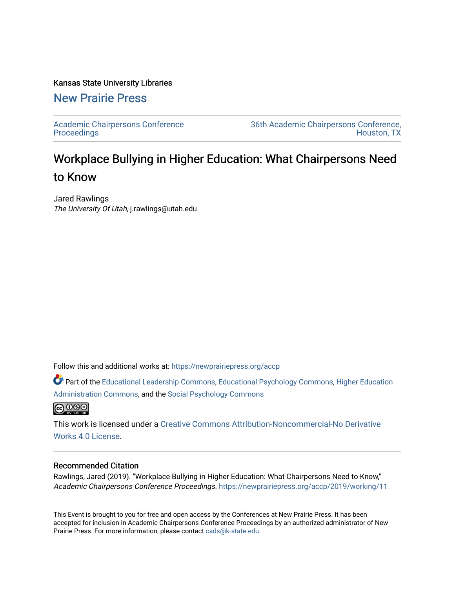# Kansas State University Libraries

# [New Prairie Press](https://newprairiepress.org/)

[Academic Chairpersons Conference](https://newprairiepress.org/accp)  **Proceedings** 

[36th Academic Chairpersons Conference,](https://newprairiepress.org/accp/2019)  [Houston, TX](https://newprairiepress.org/accp/2019) 

# Workplace Bullying in Higher Education: What Chairpersons Need to Know

Jared Rawlings The University Of Utah, j.rawlings@utah.edu

Follow this and additional works at: [https://newprairiepress.org/accp](https://newprairiepress.org/accp?utm_source=newprairiepress.org%2Faccp%2F2019%2Fworking%2F11&utm_medium=PDF&utm_campaign=PDFCoverPages) 

Part of the [Educational Leadership Commons,](http://network.bepress.com/hgg/discipline/1230?utm_source=newprairiepress.org%2Faccp%2F2019%2Fworking%2F11&utm_medium=PDF&utm_campaign=PDFCoverPages) [Educational Psychology Commons](http://network.bepress.com/hgg/discipline/798?utm_source=newprairiepress.org%2Faccp%2F2019%2Fworking%2F11&utm_medium=PDF&utm_campaign=PDFCoverPages), [Higher Education](http://network.bepress.com/hgg/discipline/791?utm_source=newprairiepress.org%2Faccp%2F2019%2Fworking%2F11&utm_medium=PDF&utm_campaign=PDFCoverPages)  [Administration Commons,](http://network.bepress.com/hgg/discipline/791?utm_source=newprairiepress.org%2Faccp%2F2019%2Fworking%2F11&utm_medium=PDF&utm_campaign=PDFCoverPages) and the [Social Psychology Commons](http://network.bepress.com/hgg/discipline/414?utm_source=newprairiepress.org%2Faccp%2F2019%2Fworking%2F11&utm_medium=PDF&utm_campaign=PDFCoverPages)



This work is licensed under a [Creative Commons Attribution-Noncommercial-No Derivative](https://creativecommons.org/licenses/by-nc-nd/4.0/)  [Works 4.0 License](https://creativecommons.org/licenses/by-nc-nd/4.0/).

# Recommended Citation

Rawlings, Jared (2019). "Workplace Bullying in Higher Education: What Chairpersons Need to Know," Academic Chairpersons Conference Proceedings. <https://newprairiepress.org/accp/2019/working/11>

This Event is brought to you for free and open access by the Conferences at New Prairie Press. It has been accepted for inclusion in Academic Chairpersons Conference Proceedings by an authorized administrator of New Prairie Press. For more information, please contact [cads@k-state.edu.](mailto:cads@k-state.edu)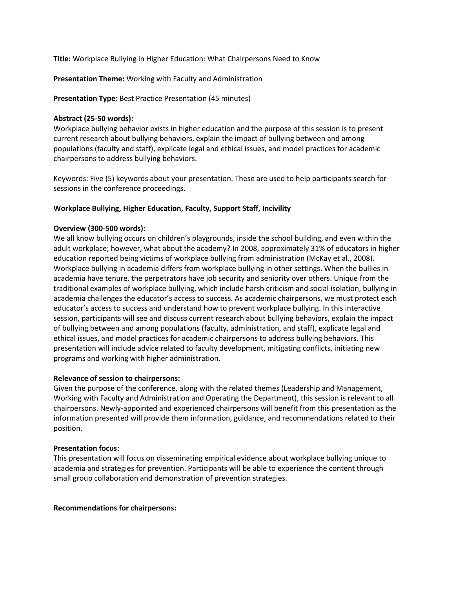**Title:** Workplace Bullying in Higher Education: What Chairpersons Need to Know

**Presentation Theme:** Working with Faculty and Administration

**Presentation Type:** Best Practice Presentation (45 minutes)

# **Abstract (25-50 words):**

Workplace bullying behavior exists in higher education and the purpose of this session is to present current research about bullying behaviors, explain the impact of bullying between and among populations (faculty and staff), explicate legal and ethical issues, and model practices for academic chairpersons to address bullying behaviors.

Keywords: Five (5) keywords about your presentation. These are used to help participants search for sessions in the conference proceedings.

# **Workplace Bullying, Higher Education, Faculty, Support Staff, Incivility**

# **Overview (300-500 words):**

We all know bullying occurs on children's playgrounds, inside the school building, and even within the adult workplace; however, what about the academy? In 2008, approximately 31% of educators in higher education reported being victims of workplace bullying from administration (McKay et al., 2008). Workplace bullying in academia differs from workplace bullying in other settings. When the bullies in academia have tenure, the perpetrators have job security and seniority over others. Unique from the traditional examples of workplace bullying, which include harsh criticism and social isolation, bullying in academia challenges the educator's access to success. As academic chairpersons, we must protect each educator's access to success and understand how to prevent workplace bullying. In this interactive session, participants will see and discuss current research about bullying behaviors, explain the impact of bullying between and among populations (faculty, administration, and staff), explicate legal and ethical issues, and model practices for academic chairpersons to address bullying behaviors. This presentation will include advice related to faculty development, mitigating conflicts, initiating new programs and working with higher administration.

# **Relevance of session to chairpersons:**

Given the purpose of the conference, along with the related themes (Leadership and Management, Working with Faculty and Administration and Operating the Department), this session is relevant to all chairpersons. Newly-appointed and experienced chairpersons will benefit from this presentation as the information presented will provide them information, guidance, and recommendations related to their position.

# **Presentation focus:**

This presentation will focus on disseminating empirical evidence about workplace bullying unique to academia and strategies for prevention. Participants will be able to experience the content through small group collaboration and demonstration of prevention strategies.

# **Recommendations for chairpersons:**